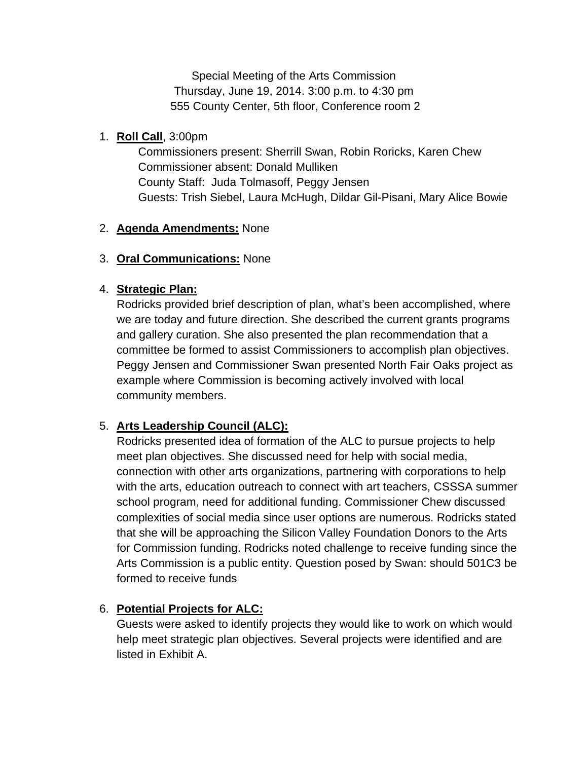Special Meeting of the Arts Commission Thursday, June 19, 2014. 3:00 p.m. to 4:30 pm 555 County Center, 5th floor, Conference room 2

### 1. **Roll Call**, 3:00pm

Commissioners present: Sherrill Swan, Robin Roricks, Karen Chew Commissioner absent: Donald Mulliken County Staff: Juda Tolmasoff, Peggy Jensen Guests: Trish Siebel, Laura McHugh, Dildar Gil-Pisani, Mary Alice Bowie

#### 2. **Agenda Amendments:** None

#### 3. **Oral Communications:** None

#### 4. **Strategic Plan:**

Rodricks provided brief description of plan, what's been accomplished, where we are today and future direction. She described the current grants programs and gallery curation. She also presented the plan recommendation that a committee be formed to assist Commissioners to accomplish plan objectives. Peggy Jensen and Commissioner Swan presented North Fair Oaks project as example where Commission is becoming actively involved with local community members.

## 5. **Arts Leadership Council (ALC):**

Rodricks presented idea of formation of the ALC to pursue projects to help meet plan objectives. She discussed need for help with social media, connection with other arts organizations, partnering with corporations to help with the arts, education outreach to connect with art teachers, CSSSA summer school program, need for additional funding. Commissioner Chew discussed complexities of social media since user options are numerous. Rodricks stated that she will be approaching the Silicon Valley Foundation Donors to the Arts for Commission funding. Rodricks noted challenge to receive funding since the Arts Commission is a public entity. Question posed by Swan: should 501C3 be formed to receive funds

## 6. **Potential Projects for ALC:**

Guests were asked to identify projects they would like to work on which would help meet strategic plan objectives. Several projects were identified and are listed in Exhibit A.